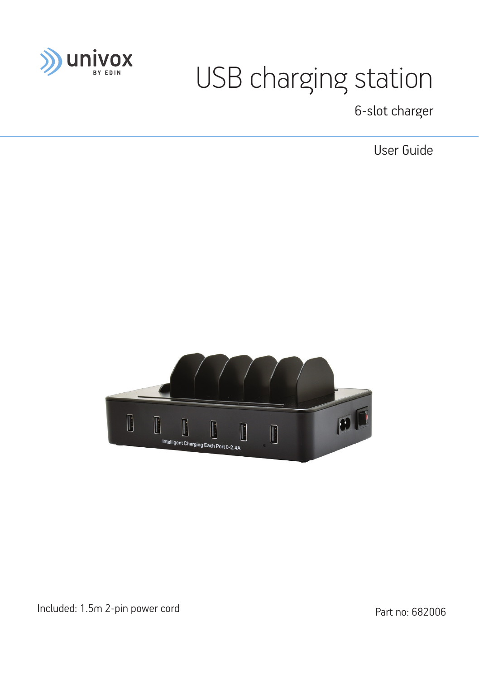

# USB charging station

6-slot charger

User Guide



Included: 1.5m 2-pin power cord Part no: 682006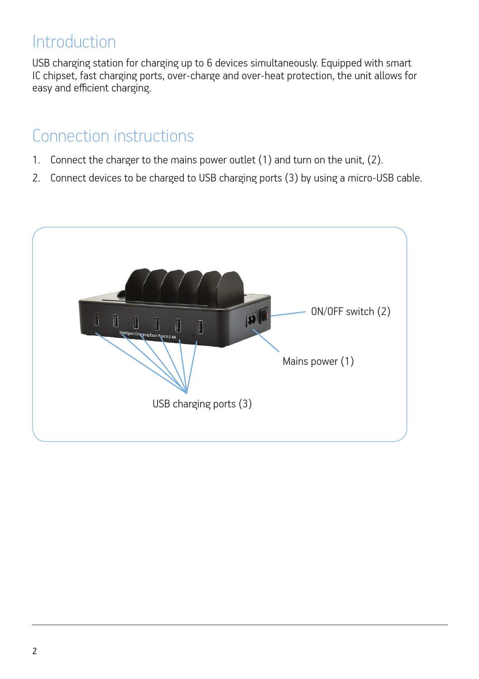#### **Introduction**

USB charging station for charging up to 6 devices simultaneously. Equipped with smart IC chipset, fast charging ports, over-charge and over-heat protection, the unit allows for easy and efficient charging.

#### Connection instructions

- 1. Connect the charger to the mains power outlet (1) and turn on the unit, (2).
- 2. Connect devices to be charged to USB charging ports (3) by using a micro-USB cable.

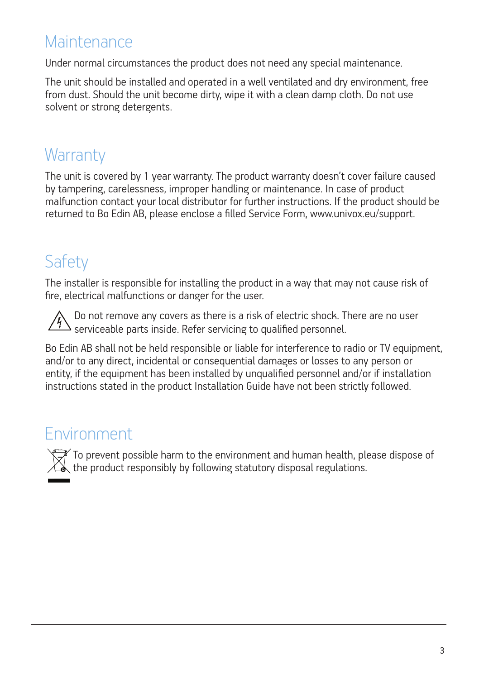### **Maintenance**

Under normal circumstances the product does not need any special maintenance.

The unit should be installed and operated in a well ventilated and dry environment, free from dust. Should the unit become dirty, wipe it with a clean damp cloth. Do not use solvent or strong detergents.

#### **Warranty**

The unit is covered by 1 year warranty. The product warranty doesn't cover failure caused by tampering, carelessness, improper handling or maintenance. In case of product malfunction contact your local distributor for further instructions. If the product should be returned to Bo Edin AB, please enclose a filled Service Form, www.univox.eu/support.

## **Safety**

The installer is responsible for installing the product in a way that may not cause risk of fire, electrical malfunctions or danger for the user.



Do not remove any covers as there is a risk of electric shock. There are no user serviceable parts inside. Refer servicing to qualified personnel.

Bo Edin AB shall not be held responsible or liable for interference to radio or TV equipment, and/or to any direct, incidental or consequential damages or losses to any person or entity, if the equipment has been installed by unqualified personnel and/or if installation instructions stated in the product Installation Guide have not been strictly followed.

#### Environment

To prevent possible harm to the environment and human health, please dispose of  $\sqrt{\lambda}$  the product responsibly by following statutory disposal regulations.